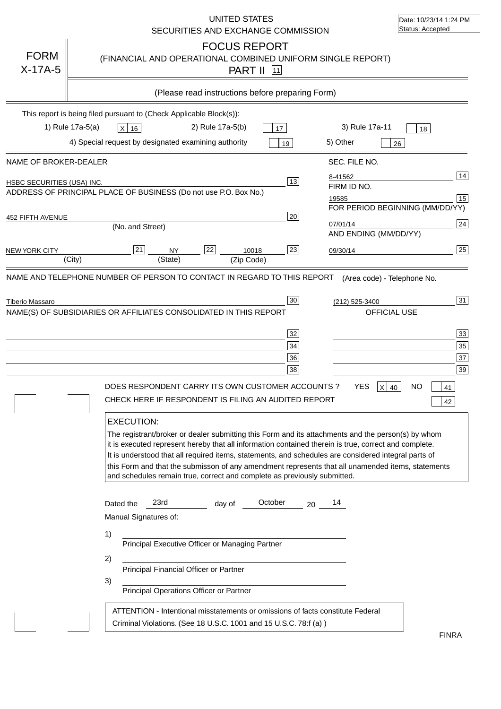|                            | UNITED STATES<br>SECURITIES AND EXCHANGE COMMISSION                                                                                                                                                                                                                                                                                                                                                                                                                                                                                                                               | Date: 10/23/14 1:24 PM<br>Status: Accepted      |
|----------------------------|-----------------------------------------------------------------------------------------------------------------------------------------------------------------------------------------------------------------------------------------------------------------------------------------------------------------------------------------------------------------------------------------------------------------------------------------------------------------------------------------------------------------------------------------------------------------------------------|-------------------------------------------------|
| <b>FORM</b><br>$X-17A-5$   | <b>FOCUS REPORT</b><br>(FINANCIAL AND OPERATIONAL COMBINED UNIFORM SINGLE REPORT)<br><b>PART II</b> 11                                                                                                                                                                                                                                                                                                                                                                                                                                                                            |                                                 |
|                            | (Please read instructions before preparing Form)                                                                                                                                                                                                                                                                                                                                                                                                                                                                                                                                  |                                                 |
|                            | This report is being filed pursuant to (Check Applicable Block(s)):<br>1) Rule 17a-5(a)<br>2) Rule 17a-5(b)<br>3) Rule 17a-11<br>$X$ 16<br>17<br>4) Special request by designated examining authority<br>5) Other<br>19                                                                                                                                                                                                                                                                                                                                                           | 18<br>26                                        |
| NAME OF BROKER-DEALER      | SEC. FILE NO.                                                                                                                                                                                                                                                                                                                                                                                                                                                                                                                                                                     |                                                 |
| HSBC SECURITIES (USA) INC. | 8-41562<br>13<br>FIRM ID NO.<br>ADDRESS OF PRINCIPAL PLACE OF BUSINESS (Do not use P.O. Box No.)<br>19585                                                                                                                                                                                                                                                                                                                                                                                                                                                                         | 14 <br>15<br>FOR PERIOD BEGINNING (MM/DD/YY)    |
| 452 FIFTH AVENUE           | 20<br>07/01/14<br>(No. and Street)<br>AND ENDING (MM/DD/YY)                                                                                                                                                                                                                                                                                                                                                                                                                                                                                                                       | 24                                              |
| <b>NEW YORK CITY</b>       | 21<br>22<br>23<br><b>NY</b><br>10018<br>09/30/14<br>(City)<br>(State)<br>(Zip Code)                                                                                                                                                                                                                                                                                                                                                                                                                                                                                               | 25                                              |
| Tiberio Massaro            | 30<br>(212) 525-3400<br>NAME(S) OF SUBSIDIARIES OR AFFILIATES CONSOLIDATED IN THIS REPORT<br><b>OFFICIAL USE</b><br>32<br>34<br>36<br>38<br>DOES RESPONDENT CARRY ITS OWN CUSTOMER ACCOUNTS?<br>YES<br>$X$ 40                                                                                                                                                                                                                                                                                                                                                                     | 31<br> 33 <br>35<br>37<br>39<br><b>NO</b><br>41 |
|                            | CHECK HERE IF RESPONDENT IS FILING AN AUDITED REPORT<br><b>EXECUTION:</b><br>The registrant/broker or dealer submitting this Form and its attachments and the person(s) by whom<br>it is executed represent hereby that all information contained therein is true, correct and complete.<br>It is understood that all required items, statements, and schedules are considered integral parts of<br>this Form and that the submisson of any amendment represents that all unamended items, statements<br>and schedules remain true, correct and complete as previously submitted. | 42                                              |
|                            | 23rd<br>October<br>14<br>Dated the<br>day of<br>20<br>Manual Signatures of:<br>1)<br>Principal Executive Officer or Managing Partner<br>2)<br>Principal Financial Officer or Partner<br>3)<br>Principal Operations Officer or Partner                                                                                                                                                                                                                                                                                                                                             |                                                 |
|                            | ATTENTION - Intentional misstatements or omissions of facts constitute Federal<br>Criminal Violations. (See 18 U.S.C. 1001 and 15 U.S.C. 78:f (a))                                                                                                                                                                                                                                                                                                                                                                                                                                | <b>FINRA</b>                                    |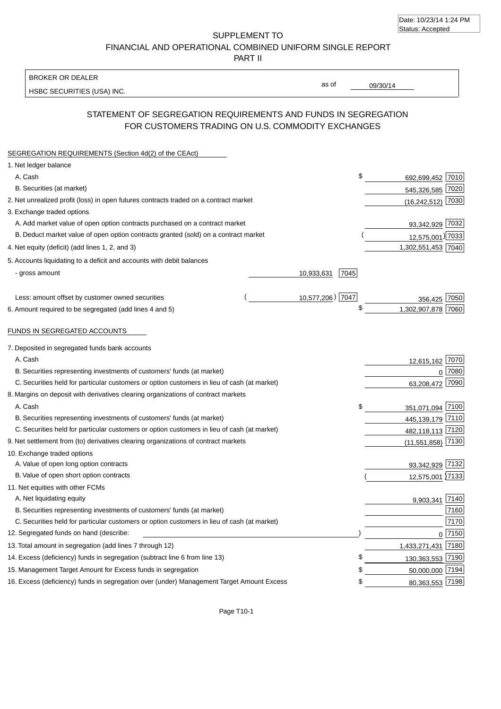| Date: 10/23/14 1:24 PM |  |
|------------------------|--|
| Status: Accepted       |  |

SUPPLEMENT TO FINANCIAL AND OPERATIONAL COMBINED UNIFORM SINGLE REPORT

PART II

#### BROKER OR DEALER

HSBC SECURITIES (USA) INC.

09/30/14

as of

## STATEMENT OF SEGREGATION REQUIREMENTS AND FUNDS IN SEGREGATION FOR CUSTOMERS TRADING ON U.S. COMMODITY EXCHANGES

| SEGREGATION REQUIREMENTS (Section 4d(2) of the CEAct)                                       |                    |                     |          |
|---------------------------------------------------------------------------------------------|--------------------|---------------------|----------|
| 1. Net ledger balance                                                                       |                    |                     |          |
| A. Cash                                                                                     | \$                 | 692,699,452 7010    |          |
| B. Securities (at market)                                                                   |                    | 545,326,585 7020    |          |
| 2. Net unrealized profit (loss) in open futures contracts traded on a contract market       |                    | $(16,242,512)$ 7030 |          |
| 3. Exchange traded options                                                                  |                    |                     |          |
| A. Add market value of open option contracts purchased on a contract market                 |                    | 93,342,929 7032     |          |
| B. Deduct market value of open option contracts granted (sold) on a contract market         |                    | 12,575,001) 7033    |          |
| 4. Net equity (deficit) (add lines 1, 2, and 3)                                             |                    | 1,302,551,453 7040  |          |
| 5. Accounts liquidating to a deficit and accounts with debit balances                       |                    |                     |          |
| - gross amount                                                                              | 7045<br>10,933,631 |                     |          |
|                                                                                             |                    |                     |          |
| Less: amount offset by customer owned securities                                            | 10,577,206) 7047   | 356.425             | 7050     |
| 6. Amount required to be segregated (add lines 4 and 5)                                     |                    | 1,302,907,878       | 7060     |
|                                                                                             |                    |                     |          |
| <b>FUNDS IN SEGREGATED ACCOUNTS</b>                                                         |                    |                     |          |
| 7. Deposited in segregated funds bank accounts                                              |                    |                     |          |
| A. Cash                                                                                     |                    | 12,615,162 7070     |          |
| B. Securities representing investments of customers' funds (at market)                      |                    |                     | $0$ 7080 |
| C. Securities held for particular customers or option customers in lieu of cash (at market) |                    | 63,208,472 7090     |          |
| 8. Margins on deposit with derivatives clearing organizations of contract markets           |                    |                     |          |
| A. Cash                                                                                     | \$                 | 351,071,094 7100    |          |
| B. Securities representing investments of customers' funds (at market)                      |                    | 445,139,179 7110    |          |
| C. Securities held for particular customers or option customers in lieu of cash (at market) |                    | 482,118,113 7120    |          |
| 9. Net settlement from (to) derivatives clearing organizations of contract markets          |                    | $(11,551,858)$ 7130 |          |
| 10. Exchange traded options                                                                 |                    |                     |          |
| A. Value of open long option contracts                                                      |                    | 93,342,929 7132     |          |
| B. Value of open short option contracts                                                     |                    | 12,575,001 7133     |          |
| 11. Net equities with other FCMs                                                            |                    |                     |          |
| A. Net liquidating equity                                                                   |                    | 9,903,341           | 7140     |
| B. Securities representing investments of customers' funds (at market)                      |                    |                     | 7160     |
| C. Securities held for particular customers or option customers in lieu of cash (at market) |                    |                     | 7170     |
| 12. Segregated funds on hand (describe:                                                     |                    |                     | 0 7150   |
| 13. Total amount in segregation (add lines 7 through 12)                                    |                    | 1,433,271,431       | 7180     |
| 14. Excess (deficiency) funds in segregation (subtract line 6 from line 13)                 |                    | 130,363,553 7190    |          |
| 15. Management Target Amount for Excess funds in segregation                                | \$                 | 50,000,000 7194     |          |
| 16. Excess (deficiency) funds in segregation over (under) Management Target Amount Excess   | \$                 | 80,363,553 7198     |          |
|                                                                                             |                    |                     |          |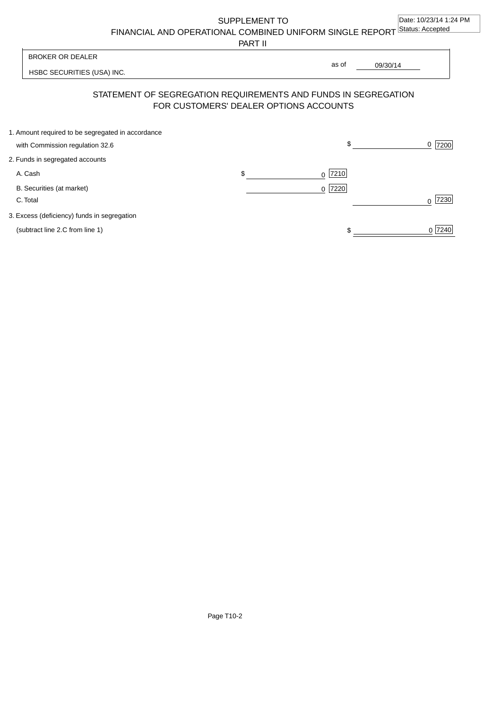SUPPLEMENT TO

FINANCIAL AND OPERATIONAL COMBINED UNIFORM SINGLE REPORT Status: Accepted

PART II

HSBC SECURITIES (USA) INC. 09/30/14 BROKER OR DEALER STATEMENT OF SEGREGATION REQUIREMENTS AND FUNDS IN SEGREGATION as of

# FOR CUSTOMERS' DEALER OPTIONS ACCOUNTS

| 1. Amount required to be segregated in accordance |                 |           |
|---------------------------------------------------|-----------------|-----------|
| with Commission regulation 32.6                   | \$              | $0$  7200 |
| 2. Funds in segregated accounts                   |                 |           |
| A. Cash                                           | \$<br>$0$  7210 |           |
| B. Securities (at market)                         | $0$ 7220        |           |
| C. Total                                          |                 | 7230      |
| 3. Excess (deficiency) funds in segregation       |                 |           |
| (subtract line 2.C from line 1)                   |                 | 0 7240    |
|                                                   |                 |           |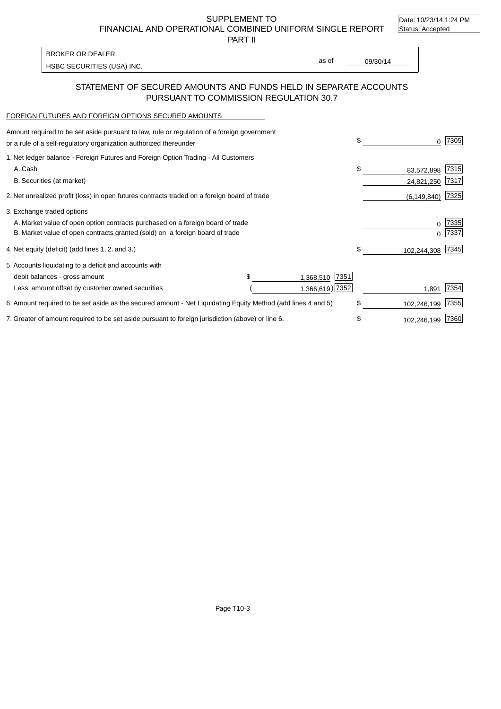SUPPLEMENT TO Date: 10/23/14 1:24 PM Status: Accepted

FINANCIAL AND OPERATIONAL COMBINED UNIFORM SINGLE REPORT

| I BROKER OR DEALER                |       |          |
|-----------------------------------|-------|----------|
|                                   | as of | 09/30/14 |
| <b>HSBC SECURITIES (USA) INC.</b> |       |          |

 $\mathbf{r}$ 

PART II

| STATEMENT OF SECURED AMOUNTS AND FUNDS HELD IN SEPARATE ACCOUNTS. |  |
|-------------------------------------------------------------------|--|
| PURSUANT TO COMMISSION REGULATION 30.7                            |  |

#### FOREIGN FUTURES AND FOREIGN OPTIONS SECURED AMOUNTS

| Amount required to be set aside pursuant to law, rule or regulation of a foreign government<br>or a rule of a self-regulatory organization authorized thereunder |  |                   | \$   | 0             | 7305 |
|------------------------------------------------------------------------------------------------------------------------------------------------------------------|--|-------------------|------|---------------|------|
| 1. Net ledger balance - Foreign Futures and Foreign Option Trading - All Customers                                                                               |  |                   |      |               |      |
| A. Cash                                                                                                                                                          |  |                   | \$   | 83,572,898    | 7315 |
| B. Securities (at market)                                                                                                                                        |  |                   |      | 24,821,250    | 7317 |
| 2. Net unrealized profit (loss) in open futures contracts traded on a foreign board of trade                                                                     |  |                   |      | (6, 149, 840) | 7325 |
| 3. Exchange traded options                                                                                                                                       |  |                   |      |               |      |
| A. Market value of open option contracts purchased on a foreign board of trade                                                                                   |  |                   |      | 0             | 7335 |
| B. Market value of open contracts granted (sold) on a foreign board of trade                                                                                     |  |                   | 7337 |               |      |
| 4. Net equity (deficit) (add lines 1.2. and 3.)                                                                                                                  |  |                   | \$   | 102,244,308   | 7345 |
| 5. Accounts liquidating to a deficit and accounts with                                                                                                           |  |                   |      |               |      |
| debit balances - gross amount                                                                                                                                    |  | 7351<br>1,368,510 |      |               |      |
| Less: amount offset by customer owned securities                                                                                                                 |  | 1,366,619) 7352   |      | 1,891         | 7354 |
| 6. Amount required to be set aside as the secured amount - Net Liquidating Equity Method (add lines 4 and 5)                                                     |  |                   |      | 102,246,199   | 7355 |
| 7. Greater of amount required to be set aside pursuant to foreign jurisdiction (above) or line 6.                                                                |  |                   |      | 102,246,199   | 7360 |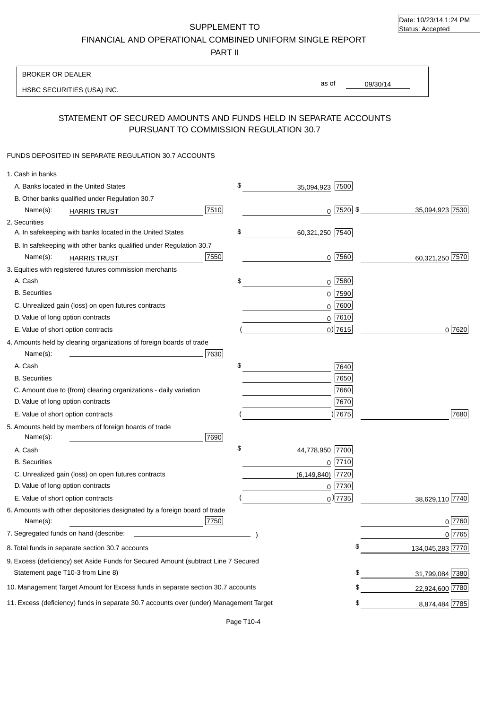SUPPLEMENT TO FINANCIAL AND OPERATIONAL COMBINED UNIFORM SINGLE REPORT

PART II

## BROKER OR DEALER

HSBC SECURITIES (USA) INC.

09/30/14 as of

## STATEMENT OF SECURED AMOUNTS AND FUNDS HELD IN SEPARATE ACCOUNTS PURSUANT TO COMMISSION REGULATION 30.7

#### FUNDS DEPOSITED IN SEPARATE REGULATION 30.7 ACCOUNTS

| 1. Cash in banks                   |                                                                                        |      |                       |                 |                  |
|------------------------------------|----------------------------------------------------------------------------------------|------|-----------------------|-----------------|------------------|
|                                    | A. Banks located in the United States                                                  |      | \$<br>35,094,923 7500 |                 |                  |
|                                    | B. Other banks qualified under Regulation 30.7                                         |      |                       |                 |                  |
| Name(s):                           | <b>HARRIS TRUST</b>                                                                    | 7510 |                       | $0$   7520   \$ | 35,094,923 7530  |
| 2. Securities                      |                                                                                        |      |                       |                 |                  |
|                                    | A. In safekeeping with banks located in the United States                              |      | \$<br>60,321,250 7540 |                 |                  |
|                                    | B. In safekeeping with other banks qualified under Regulation 30.7                     |      |                       |                 |                  |
| Name(s):                           | <b>HARRIS TRUST</b>                                                                    | 7550 |                       | $0$  7560       | 60,321,250 7570  |
|                                    | 3. Equities with registered futures commission merchants                               |      |                       |                 |                  |
| A. Cash                            |                                                                                        |      | \$                    | $0$ 7580        |                  |
| <b>B.</b> Securities               |                                                                                        |      |                       | $0$ 7590        |                  |
|                                    | C. Unrealized gain (loss) on open futures contracts                                    |      |                       | $0^{7600}$      |                  |
| D. Value of long option contracts  |                                                                                        |      |                       | $0$ 7610        |                  |
|                                    | E. Value of short option contracts                                                     |      |                       | 0 7615          | 0 7620           |
|                                    | 4. Amounts held by clearing organizations of foreign boards of trade                   |      |                       |                 |                  |
| Name(s):                           | the control of the control of the control of the                                       | 7630 |                       |                 |                  |
| A. Cash                            |                                                                                        |      | \$                    | 7640            |                  |
| <b>B.</b> Securities               |                                                                                        |      |                       | 7650            |                  |
|                                    | C. Amount due to (from) clearing organizations - daily variation                       |      |                       | 7660            |                  |
| D. Value of long option contracts  |                                                                                        |      |                       | 7670            |                  |
|                                    | E. Value of short option contracts                                                     |      |                       | )7675           | 7680             |
|                                    | 5. Amounts held by members of foreign boards of trade                                  |      |                       |                 |                  |
| Name(s):                           |                                                                                        | 7690 |                       |                 |                  |
| A. Cash                            |                                                                                        |      | \$<br>44,778,950 7700 |                 |                  |
| <b>B.</b> Securities               |                                                                                        |      |                       | $0$ 7710        |                  |
|                                    | C. Unrealized gain (loss) on open futures contracts                                    |      | (6, 149, 840)         | 7720            |                  |
| D. Value of long option contracts  |                                                                                        |      |                       | $0$  7730       |                  |
| E. Value of short option contracts |                                                                                        |      |                       | $0$ ) 7735      | 38,629,110 7740  |
|                                    | 6. Amounts with other depositories designated by a foreign board of trade              |      |                       |                 |                  |
| Name(s):                           |                                                                                        | 7750 |                       |                 | $0$ 7760         |
|                                    | 7. Segregated funds on hand (describe:                                                 |      |                       |                 | 0 7765           |
|                                    | 8. Total funds in separate section 30.7 accounts                                       |      |                       |                 | 134,045,283 7770 |
|                                    | 9. Excess (deficiency) set Aside Funds for Secured Amount (subtract Line 7 Secured     |      |                       |                 |                  |
|                                    | Statement page T10-3 from Line 8)                                                      |      |                       | \$              | 31,799,084 7380  |
|                                    | 10. Management Target Amount for Excess funds in separate section 30.7 accounts        |      |                       | \$              | 22,924,600 7780  |
|                                    | 11. Excess (deficiency) funds in separate 30.7 accounts over (under) Management Target |      |                       | \$              | 8,874,484 7785   |
|                                    |                                                                                        |      |                       |                 |                  |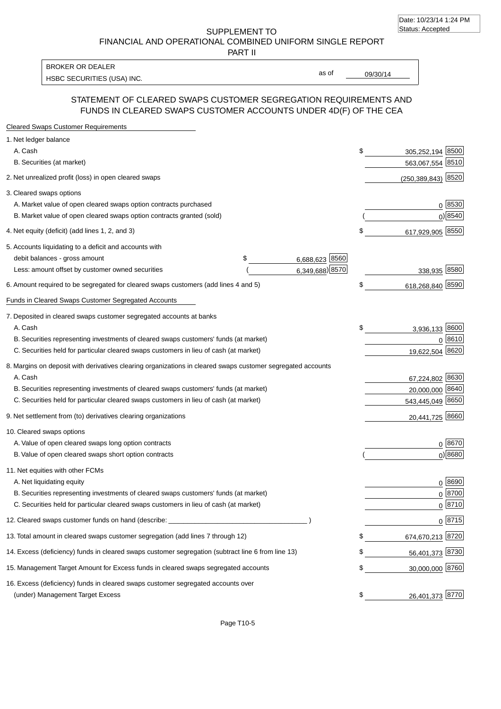SUPPLEMENT TO FINANCIAL AND OPERATIONAL COMBINED UNIFORM SINGLE REPORT

PART II

HSBC SECURITIES (USA) INC. The state of the second second second second second second second second second second second second second second second second second second second second second second second second second sec BROKER OR DEALER

as of

# STATEMENT OF CLEARED SWAPS CUSTOMER SEGREGATION REQUIREMENTS AND FUNDS IN CLEARED SWAPS CUSTOMER ACCOUNTS UNDER 4D(F) OF THE CEA

| <b>Cleared Swaps Customer Requirements</b>                                                                  |                      |    |                         |  |
|-------------------------------------------------------------------------------------------------------------|----------------------|----|-------------------------|--|
| 1. Net ledger balance                                                                                       |                      |    |                         |  |
| A. Cash                                                                                                     |                      | \$ | 8500<br>305,252,194     |  |
| B. Securities (at market)                                                                                   |                      |    | 563,067,554 8510        |  |
| 2. Net unrealized profit (loss) in open cleared swaps                                                       |                      |    | 8520<br>(250, 389, 843) |  |
| 3. Cleared swaps options                                                                                    |                      |    |                         |  |
| A. Market value of open cleared swaps option contracts purchased                                            |                      |    | $0^{8530}$              |  |
| B. Market value of open cleared swaps option contracts granted (sold)                                       |                      |    | $0)$ 8540               |  |
| 4. Net equity (deficit) (add lines 1, 2, and 3)                                                             |                      | \$ | 617,929,905 8550        |  |
| 5. Accounts liquidating to a deficit and accounts with                                                      |                      |    |                         |  |
| debit balances - gross amount                                                                               | \$<br>6,688,623 8560 |    |                         |  |
| Less: amount offset by customer owned securities                                                            | 6,349,688) 8570      |    | 338,935 8580            |  |
| 6. Amount required to be segregated for cleared swaps customers (add lines 4 and 5)                         |                      | S  | 618,268,840 8590        |  |
| Funds in Cleared Swaps Customer Segregated Accounts                                                         |                      |    |                         |  |
| 7. Deposited in cleared swaps customer segregated accounts at banks                                         |                      |    |                         |  |
| A. Cash                                                                                                     |                      | \$ | 3,936,133 8600          |  |
| B. Securities representing investments of cleared swaps customers' funds (at market)                        |                      |    | 0 8610                  |  |
| C. Securities held for particular cleared swaps customers in lieu of cash (at market)                       |                      |    | 8620<br>19,622,504      |  |
| 8. Margins on deposit with derivatives clearing organizations in cleared swaps customer segregated accounts |                      |    |                         |  |
| A. Cash                                                                                                     |                      |    | 67,224,802 8630         |  |
| B. Securities representing investments of cleared swaps customers' funds (at market)                        |                      |    | 8640<br>20,000,000      |  |
| C. Securities held for particular cleared swaps customers in lieu of cash (at market)                       |                      |    | 543,445,049 8650        |  |
| 9. Net settlement from (to) derivatives clearing organizations                                              |                      |    | 8660<br>20,441,725      |  |
| 10. Cleared swaps options                                                                                   |                      |    |                         |  |
| A. Value of open cleared swaps long option contracts                                                        |                      |    | $0^{8670}$              |  |
| B. Value of open cleared swaps short option contracts                                                       |                      |    | $0$ ) 8680              |  |
| 11. Net equities with other FCMs                                                                            |                      |    |                         |  |
| A. Net liquidating equity                                                                                   |                      |    | $0^{8690}$              |  |
| B. Securities representing investments of cleared swaps customers' funds (at market)                        |                      |    | $0^{8700}$              |  |
| C. Securities held for particular cleared swaps customers in lieu of cash (at market)                       |                      |    | 0 8710                  |  |
| 12. Cleared swaps customer funds on hand (describe: _                                                       |                      |    | $0 \;  8715 $           |  |
| 13. Total amount in cleared swaps customer segregation (add lines 7 through 12)                             |                      |    | 674,670,213 8720        |  |
| 14. Excess (deficiency) funds in cleared swaps customer segregation (subtract line 6 from line 13)          |                      |    | 56,401,373 8730         |  |
| 15. Management Target Amount for Excess funds in cleared swaps segregated accounts                          |                      | \$ | 30,000,000 8760         |  |
| 16. Excess (deficiency) funds in cleared swaps customer segregated accounts over                            |                      |    |                         |  |
| (under) Management Target Excess                                                                            |                      | \$ | 26,401,373 8770         |  |